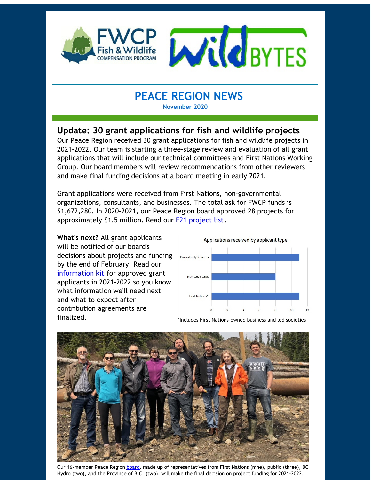

# **PEACE REGION NEWS**

**November 2020**

## **Update: 30 grant applications for fish and wildlife projects**

Our Peace Region received 30 grant applications for fish and wildlife projects in 2021-2022. Our team is starting a three-stage review and evaluation of all grant applications that will include our technical committees and First Nations Working Group. Our board members will review recommendations from other reviewers and make final funding decisions at a board meeting in early 2021.

Grant applications were received from First Nations, non-governmental organizations, consultants, and businesses. The total ask for FWCP funds is \$1,672,280. In 2020-2021, our Peace Region board approved 28 projects for approximately \$1.5 million. Read our **F21 [project](https://fwcp.ca/region/peace-region/) list**.

**What's next?** All grant applicants will be notified of our board's decisions about projects and funding by the end of February. Read our [information](https://fwcp.ca/apply-for-funding/) kit for approved grant applicants in 2021-2022 so you know what information we'll need next and what to expect after contribution agreements are finalized.



\*Includes First Nations-owned business and led societies



Our 16-member Peace Region [board](https://fwcp.ca/peace-region-board-committees/), made up of representatives from First Nations (nine), public (three), BC Hydro (two), and the Province of B.C. (two), will make the final decision on project funding for 2021-2022.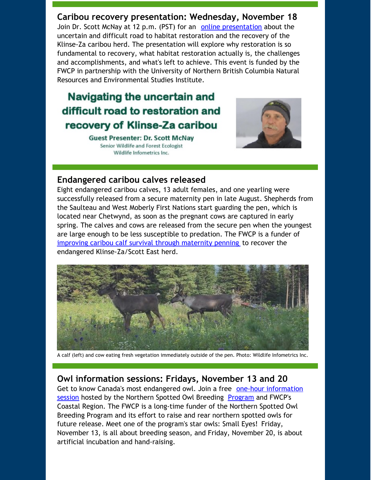**Caribou recovery presentation: Wednesday, November 18** Join Dr. Scott McNay at 12 p.m. (PST) for an online [presentation](https://fwcp.ca/youre-invited-understanding-caribou-restoration/) about the uncertain and difficult road to habitat restoration and the recovery of the Klinse-Za caribou herd. The presentation will explore why restoration is so fundamental to recovery, what habitat restoration actually is, the challenges and accomplishments, and what's left to achieve. This event is funded by the FWCP in partnership with the University of Northern British Columbia Natural Resources and Environmental Studies Institute.

# Navigating the uncertain and difficult road to restoration and recovery of Klinse-Za caribou

**Guest Presenter: Dr. Scott McNay** Senior Wildlife and Forest Ecologist Wildlife Infometrics Inc.



#### **Endangered caribou calves released**

Eight endangered caribou calves, 13 adult females, and one yearling were successfully released from a secure maternity pen in late August. Shepherds from the Saulteau and West Moberly First Nations start guarding the pen, which is located near Chetwynd, as soon as the pregnant cows are captured in early spring. The calves and cows are released from the secure pen when the youngest are large enough to be less susceptible to predation. The FWCP is a funder of [improving](https://fwcp.ca/project/improving-caribou-calf-survival-and-herd-size-through-maternity-penning/) caribou calf survival through maternity penning to recover the endangered Klinse-Za/Scott East herd.



A calf (left) and cow eating fresh vegetation immediately outside of the pen. Photo: Wildlife Infometrics Inc.

#### **Owl information sessions: Fridays, November 13 and 20**

Get to know Canada's most [endangered](https://fwcp.ca/project/helping-captive-breeding-of-canadas-most-endangered-owl-species/) owl. Join a free one-hour information session hosted by the Northern Spotted Owl Breeding [Program](https://www.nsobreedingprogram.com/) and FWCP's Coastal Region. The FWCP is a long-time funder of the Northern Spotted Owl Breeding Program and its effort to raise and rear northern spotted owls for future release. Meet one of the program's star owls: Small Eyes! Friday, November 13, is all about breeding season, and Friday, November 20, is about artificial incubation and hand-raising.